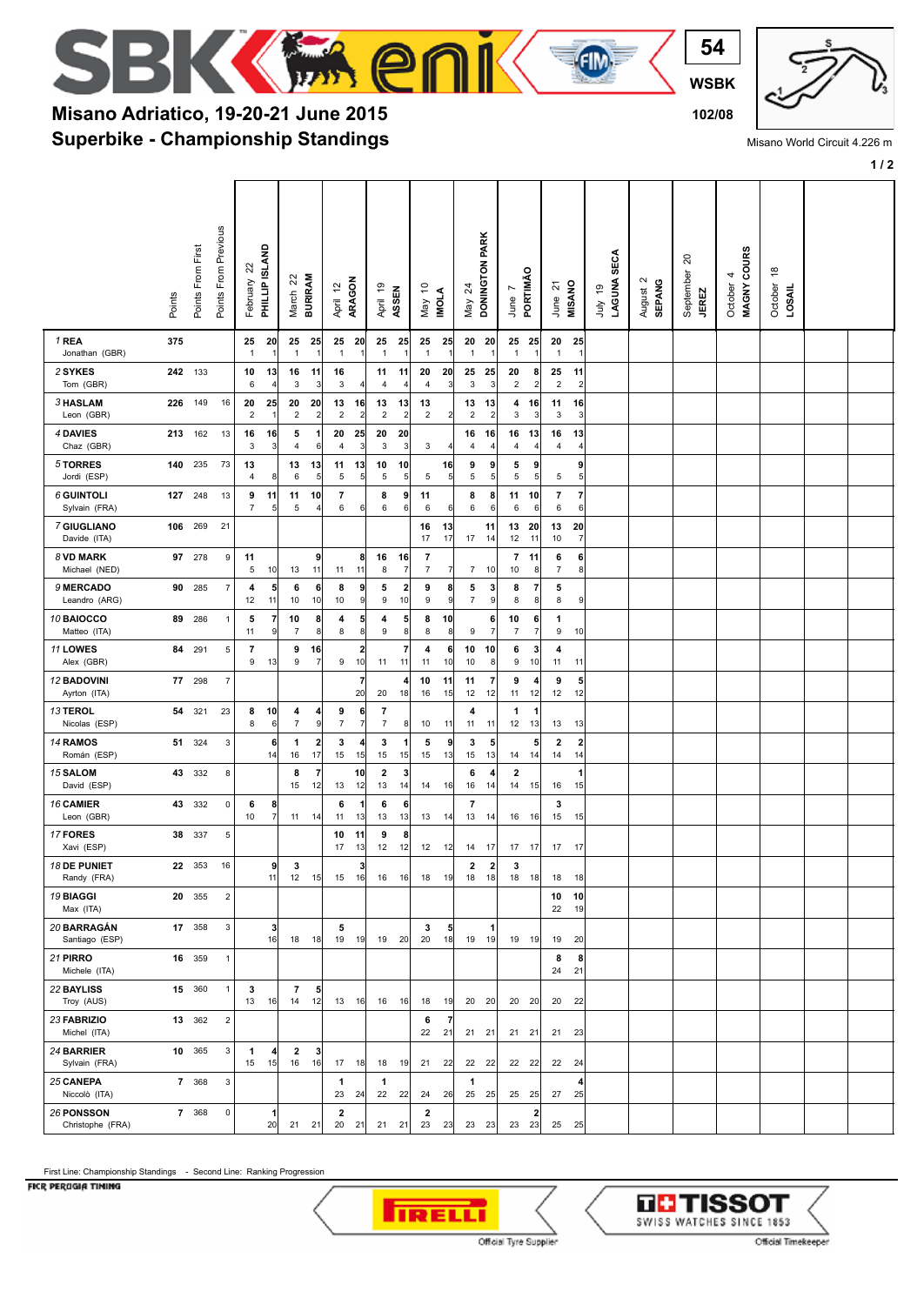

**54**

 $\epsilon$  (five)

## **Superbike - Championship Standings Misano Adriatico, 19-20-21 June 2015 102/08**

**EA en** 

**1 / 2**

|                                       | Points  | Points From First | Points From Previous | ଅ<br>February         | PHILLIP ISLAND        | $\overline{c}$<br>March | <b>BURIRAM</b>       | April 12             | ARAGON               | April 19                      | ASSEN                         | $\tilde{a}$<br>May               | IMOLA                | $^{24}$<br>Nay          | DONINGTON PARK          | June                          | PORTIMÃO              | <u>ম</u><br>June    | MISANO               | <b>SECA</b><br>LAGUNA<br>e,<br>ylır | $\sim$<br><b>SEPANG</b><br>August | 20<br>September<br><b>JEREZ</b> | <b>COURS</b><br>4<br>MAGNY<br>October | $\overset{\circ}{\phantom{a}}$<br>October<br>LOSAIL |  |
|---------------------------------------|---------|-------------------|----------------------|-----------------------|-----------------------|-------------------------|----------------------|----------------------|----------------------|-------------------------------|-------------------------------|----------------------------------|----------------------|-------------------------|-------------------------|-------------------------------|-----------------------|---------------------|----------------------|-------------------------------------|-----------------------------------|---------------------------------|---------------------------------------|-----------------------------------------------------|--|
| 1 REA<br>Jonathan (GBR)               | 375     |                   |                      | 25<br>$\mathbf{1}$    | 20<br>$\overline{1}$  | 25<br>$\mathbf{1}$      | 25                   | 25<br>$\overline{1}$ | - 20                 | 25<br>$\overline{1}$          | 25<br>$\overline{1}$          | 25<br>$\mathbf{1}$               | 25                   | 20 20<br>$\overline{1}$ | $\overline{1}$          | 25 25<br>$\mathbf{1}$         | $\mathbf{1}$          | 20<br>$\mathbf{1}$  | 25<br>$\overline{1}$ |                                     |                                   |                                 |                                       |                                                     |  |
| 2 SYKES<br>Tom (GBR)                  | 242 133 |                   |                      | 10<br>6               | 13<br>$\overline{4}$  | 16<br>3                 | 11<br>3              | 16<br>3              |                      | 11<br>$\overline{4}$          | 11<br>$\overline{4}$          | 20<br>4                          | 20<br>$\overline{3}$ | 25<br>3                 | 25<br>3                 | 20<br>$\overline{2}$          | 8<br>$\sqrt{2}$       | 25<br>$\sqrt{2}$    | 11<br>$\overline{2}$ |                                     |                                   |                                 |                                       |                                                     |  |
| 3 HASLAM<br>Leon (GBR)                | 226     | 149               | 16                   | 20<br>$\sqrt{2}$      | 25<br>-1              | 20<br>$\mathbf 2$       | 20<br>$\overline{2}$ | 13<br>$\overline{c}$ | 16<br>$\overline{2}$ | 13<br>$\overline{2}$          | 13<br>$\overline{\mathbf{c}}$ | 13<br>$\overline{c}$             | $\overline{2}$       | 13<br>$\overline{2}$    | 13<br>$\overline{2}$    | 4<br>3                        | 16<br>3               | 11<br>3             | 16<br>3              |                                     |                                   |                                 |                                       |                                                     |  |
| 4 DAVIES<br>Chaz (GBR)                | 213     | 162               | 13                   | 16<br>3               | 16<br>3               | 5<br>$\sqrt{4}$         | 6                    | 20<br>$\overline{4}$ | 25<br>3              | 20<br>$\mathbf{3}$            | 20<br>3                       | 3                                | 4                    | 16<br>$\overline{4}$    | 16<br>$\overline{4}$    | 16<br>4                       | 13<br>$\overline{4}$  | 16<br>4             | 13<br>4              |                                     |                                   |                                 |                                       |                                                     |  |
| 5 TORRES<br>Jordi (ESP)               | 140     | 235               | 73                   | 13<br>$\overline{4}$  | 8                     | 13<br>6                 | 13<br>5              | 11<br>5              | 13<br>5              | 10<br>5                       | 10<br>5                       | 5                                | 16<br>5 <sup>5</sup> | 9<br>5                  | 9<br>5                  | 5<br>5                        | 9<br>5                | 5                   | 9<br>5               |                                     |                                   |                                 |                                       |                                                     |  |
| <b>6 GUINTOLI</b><br>Sylvain (FRA)    | 127     | 248               | 13                   | 9<br>$\boldsymbol{7}$ | 11<br>5               | 11<br>5                 | 10                   | 7<br>6               | 6                    | 8<br>6                        | 9<br>6                        | 11<br>6                          | 6                    | 8<br>6                  | 8<br>6                  | 11<br>6                       | 10<br>6               | 7<br>6              | $\overline{7}$<br>6  |                                     |                                   |                                 |                                       |                                                     |  |
| 7 GIUGLIANO<br>Davide (ITA)           | 106 269 |                   | 21                   |                       |                       |                         |                      |                      |                      |                               |                               | 16<br>17                         | 13<br>17             | 17                      | 11<br>14                | 13<br>12                      | 20<br>11              | 13<br>10            | 20<br>$\overline{7}$ |                                     |                                   |                                 |                                       |                                                     |  |
| 8 VD MARK<br>Michael (NED)            |         | 97 278            | 9                    | 11<br>5               | 10                    | 13                      | 9<br>11              | 11                   | 8<br>11              | 16<br>8                       | 16<br>$\overline{7}$          | $\overline{7}$<br>$\overline{7}$ | $\frac{7}{ }$        | 7                       | 10                      | 7<br>10                       | 11<br>8               | 6<br>$\overline{7}$ | 6<br>8               |                                     |                                   |                                 |                                       |                                                     |  |
| 9 MERCADO<br>Leandro (ARG)            | 90      | 285               | $\overline{7}$       | 4<br>12               | 5<br>11               | 6<br>10                 | 6<br>10              | 8<br>10              | 9<br>9               | 5<br>9                        | 2<br>10                       | 9<br>9                           | 8<br> 9              | 5<br>$\overline{7}$     | 3<br>9                  | 8<br>8                        | 7<br>$\bf 8$          | 5<br>8              | 9                    |                                     |                                   |                                 |                                       |                                                     |  |
| 10 BAIOCCO<br>Matteo (ITA)            | 89      | 286               | $\mathbf{1}$         | 5<br>11               | 7<br>$\boldsymbol{9}$ | 10<br>$\overline{7}$    | 8<br>8               | 4<br>8               | 5<br>8               | 4<br>9                        | 5<br>8                        | 8<br>8                           | 10<br>8              | 9                       | 6<br>$\overline{7}$     | 10<br>7                       | 6<br>$\boldsymbol{7}$ | 1<br>9              | 10                   |                                     |                                   |                                 |                                       |                                                     |  |
| 11 LOWES<br>Alex (GBR)                | 84      | 291               | 5                    | 7<br>9                | 13                    | 9<br>9                  | 16                   | 9                    | 2<br>10              | 11                            | 7<br>11                       | 4<br>11                          | 6<br>10              | 10<br>10                | 10<br>8                 | 6<br>9                        | 3<br>10               | 4<br>11             | 11                   |                                     |                                   |                                 |                                       |                                                     |  |
| <b>12 BADOVINI</b><br>Ayrton (ITA)    | 77      | 298               | $\overline{7}$       |                       |                       |                         |                      |                      | 7<br>20              | 20                            | $\overline{\bf 4}$<br>18      | 10<br>16                         | 11<br>15             | 11<br>12                | $\overline{7}$<br>12    | 9<br>11                       | 4<br>12               | 9<br>12             | 5<br>12              |                                     |                                   |                                 |                                       |                                                     |  |
| 13 TEROL<br>Nicolas (ESP)             | 54      | 321               | 23                   | 8<br>8                | 10<br>6               | 4<br>$\boldsymbol{7}$   | 4<br>9               | 9<br>$\overline{7}$  | 6<br>7               | 7<br>$\overline{7}$           | 8                             | 10                               | 11                   | 4<br>11                 | 11                      | 1<br>12                       | 1<br>13               | 13                  | 13                   |                                     |                                   |                                 |                                       |                                                     |  |
| 14 RAMOS<br>Román (ESP)               | 51      | 324               | 3                    |                       | 6<br>14               | 1<br>16                 | $\mathbf{2}$<br>17   | 3<br>15              | 4<br>15              | 3<br>15                       | 1<br>15                       | 5<br>15                          | 9<br>13              | 3<br>15                 | 5<br>13                 | 14                            | 5<br>14               | 2<br>14             | $\overline{2}$<br>14 |                                     |                                   |                                 |                                       |                                                     |  |
| 15 SALOM<br>David (ESP)               | 43      | 332               | 8                    |                       |                       | 8<br>15                 | 7<br>12              | 13                   | 10<br>12             | $\overline{\mathbf{2}}$<br>13 | 3<br>14                       | 14                               | 16                   | 6<br>16                 | 4<br>14                 | $\overline{\mathbf{2}}$<br>14 | 15                    | 16                  | 1<br>15              |                                     |                                   |                                 |                                       |                                                     |  |
| 16 CAMIER<br>Leon (GBR)               | 43      | 332               | $\mathsf 0$          | 6<br>10               | 8<br>$\overline{7}$   | 11                      | 14                   | 6<br>11              | -1<br>13             | 6<br>13                       | 6<br>13                       | 13                               | 14                   | $\overline{7}$<br>13    | 14                      | 16                            | 16                    | 3<br>15             | 15                   |                                     |                                   |                                 |                                       |                                                     |  |
| 17 FORES<br>Xavi (ESP)                |         | 38 337            | 5                    |                       |                       |                         |                      | 10<br>17             | 11<br>13             | 9<br>12                       | 8<br>12                       | 12                               | 12                   | 14                      | 17                      | 17                            | 17                    | 17                  | 17                   |                                     |                                   |                                 |                                       |                                                     |  |
| <b>18 DE PUNIET</b><br>Randy (FRA)    | 22      | 353               | 16                   |                       | 9<br>11               | 3<br>$12$               | 15                   | 15                   | 3<br>16              | 16                            | 16                            | 18                               | 19                   | $\mathbf{2}$<br>18 18   | $\overline{\mathbf{2}}$ | 3<br>18                       | 18                    | 18                  | 18                   |                                     |                                   |                                 |                                       |                                                     |  |
| 19 BIAGGI<br>Max (ITA)                |         | 20 355            | $\overline{2}$       |                       |                       |                         |                      |                      |                      |                               |                               |                                  |                      |                         |                         |                               |                       |                     | 10 10<br>22 19       |                                     |                                   |                                 |                                       |                                                     |  |
| 20 BARRAGÁN<br>Santiago (ESP)         |         | 17 358            | 3                    |                       | 3<br>16               | 18                      | 18                   | 5                    | 19 19                | 19                            | 20                            | 3<br>20                          | 5<br>18              | 19 19                   | 1                       | 19 19                         |                       | 19                  | 20                   |                                     |                                   |                                 |                                       |                                                     |  |
| 21 PIRRO<br>Michele (ITA)             |         | 16 359            | $\mathbf{1}$         |                       |                       |                         |                      |                      |                      |                               |                               |                                  |                      |                         |                         |                               |                       | 8<br>24             | 8<br>21              |                                     |                                   |                                 |                                       |                                                     |  |
| 22 BAYLISS<br>Troy (AUS)              |         | 15 360            | $\mathbf{1}$         | 3<br>13               | 16                    | $\overline{7}$<br>14    | 5<br>12              |                      | 13 16                | 16 16                         |                               | 18                               | 19                   | 20 20                   |                         | $20$ 20                       |                       |                     | 20 22                |                                     |                                   |                                 |                                       |                                                     |  |
| 23 FABRIZIO<br>Michel (ITA)           |         | 13 362            | $\overline{2}$       |                       |                       |                         |                      |                      |                      |                               |                               | 6<br>22                          | $\overline{7}$<br>21 | 21 21                   |                         | 21 21                         |                       |                     | 21 23                |                                     |                                   |                                 |                                       |                                                     |  |
| 24 BARRIER<br>Sylvain (FRA)           |         | 10 365            | 3                    | 1<br>15               | 4<br>15               | $\overline{2}$<br>16    | 3<br>16              |                      | 17 18                | 18                            | 19                            | 21                               | 22                   | 22 22                   |                         | 22 22                         |                       | 22 24               |                      |                                     |                                   |                                 |                                       |                                                     |  |
| 25 CANEPA<br>Niccolò (ITA)            |         | 7 368             | 3                    |                       |                       |                         |                      | 1<br>23              | 24                   | $\mathbf{1}$<br>22            | 22                            | 24                               | 26                   | 1<br>25 25              |                         | $25$ 25                       |                       | 27                  | 4<br>25              |                                     |                                   |                                 |                                       |                                                     |  |
| <b>26 PONSSON</b><br>Christophe (FRA) |         | 7 368             | $\mathsf 0$          |                       | 1<br>20               | 21                      | 21                   | $\overline{2}$<br>20 | 21                   | 21                            | 21                            | $\mathbf{2}$<br>23               | 23                   | 23 23                   |                         | 23                            | 2<br>23               | 25                  | 25                   |                                     |                                   |                                 |                                       |                                                     |  |

## First Line: Championship Standings - Second Line: Ranking Progression

FICR PERUGIA TIMING





Misano World Circuit 4.226 m